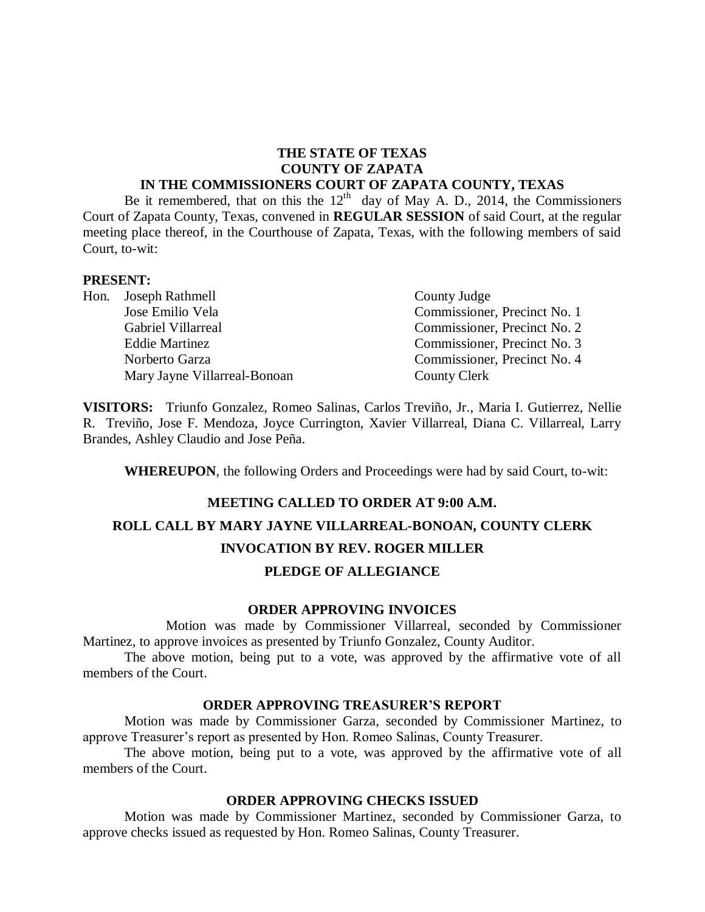# **THE STATE OF TEXAS COUNTY OF ZAPATA**

#### **IN THE COMMISSIONERS COURT OF ZAPATA COUNTY, TEXAS**

Be it remembered, that on this the  $12<sup>th</sup>$  day of May A. D., 2014, the Commissioners Court of Zapata County, Texas, convened in **REGULAR SESSION** of said Court, at the regular meeting place thereof, in the Courthouse of Zapata, Texas, with the following members of said Court, to-wit:

#### **PRESENT:**

Hon. Joseph Rathmell County Judge Mary Jayne Villarreal-Bonoan County Clerk

Jose Emilio Vela Commissioner, Precinct No. 1 Gabriel Villarreal Commissioner, Precinct No. 2 Eddie Martinez Commissioner, Precinct No. 3 Norberto Garza Commissioner, Precinct No. 4

**VISITORS:** Triunfo Gonzalez, Romeo Salinas, Carlos Treviño, Jr., Maria I. Gutierrez, Nellie R. Treviño, Jose F. Mendoza, Joyce Currington, Xavier Villarreal, Diana C. Villarreal, Larry Brandes, Ashley Claudio and Jose Peña.

**WHEREUPON**, the following Orders and Proceedings were had by said Court, to-wit:

# **MEETING CALLED TO ORDER AT 9:00 A.M. ROLL CALL BY MARY JAYNE VILLARREAL-BONOAN, COUNTY CLERK INVOCATION BY REV. ROGER MILLER PLEDGE OF ALLEGIANCE**

#### **ORDER APPROVING INVOICES**

Motion was made by Commissioner Villarreal, seconded by Commissioner Martinez, to approve invoices as presented by Triunfo Gonzalez, County Auditor.

The above motion, being put to a vote, was approved by the affirmative vote of all members of the Court.

#### **ORDER APPROVING TREASURER'S REPORT**

Motion was made by Commissioner Garza, seconded by Commissioner Martinez, to approve Treasurer's report as presented by Hon. Romeo Salinas, County Treasurer.

The above motion, being put to a vote, was approved by the affirmative vote of all members of the Court.

#### **ORDER APPROVING CHECKS ISSUED**

Motion was made by Commissioner Martinez, seconded by Commissioner Garza, to approve checks issued as requested by Hon. Romeo Salinas, County Treasurer.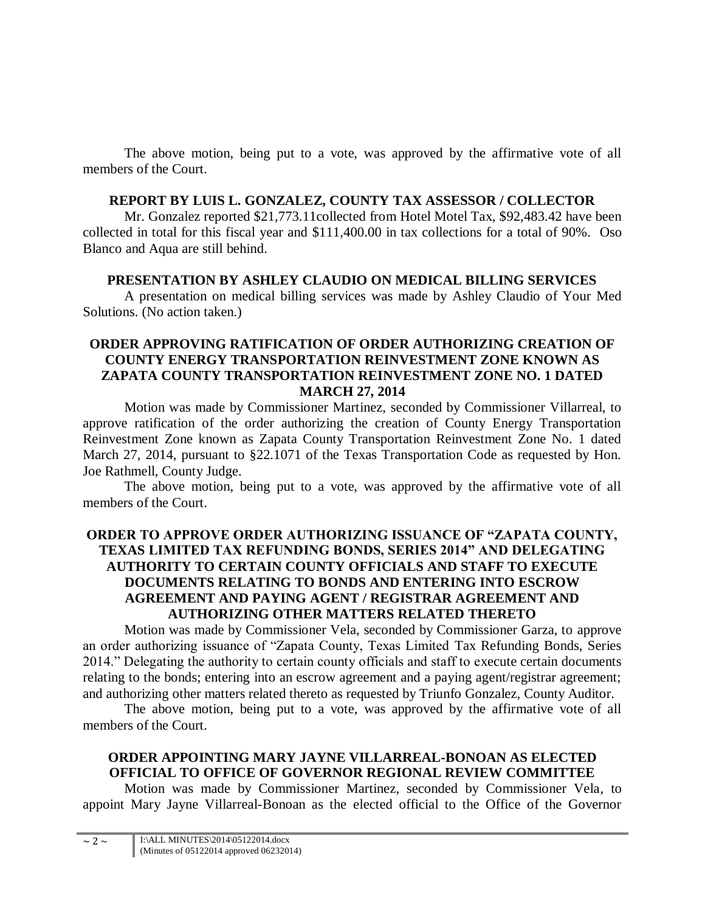The above motion, being put to a vote, was approved by the affirmative vote of all members of the Court.

### **REPORT BY LUIS L. GONZALEZ, COUNTY TAX ASSESSOR / COLLECTOR**

Mr. Gonzalez reported \$21,773.11collected from Hotel Motel Tax, \$92,483.42 have been collected in total for this fiscal year and \$111,400.00 in tax collections for a total of 90%. Oso Blanco and Aqua are still behind.

# **PRESENTATION BY ASHLEY CLAUDIO ON MEDICAL BILLING SERVICES**

A presentation on medical billing services was made by Ashley Claudio of Your Med Solutions. (No action taken.)

### **ORDER APPROVING RATIFICATION OF ORDER AUTHORIZING CREATION OF COUNTY ENERGY TRANSPORTATION REINVESTMENT ZONE KNOWN AS ZAPATA COUNTY TRANSPORTATION REINVESTMENT ZONE NO. 1 DATED MARCH 27, 2014**

Motion was made by Commissioner Martinez, seconded by Commissioner Villarreal, to approve ratification of the order authorizing the creation of County Energy Transportation Reinvestment Zone known as Zapata County Transportation Reinvestment Zone No. 1 dated March 27, 2014, pursuant to §22.1071 of the Texas Transportation Code as requested by Hon. Joe Rathmell, County Judge.

The above motion, being put to a vote, was approved by the affirmative vote of all members of the Court.

# **ORDER TO APPROVE ORDER AUTHORIZING ISSUANCE OF "ZAPATA COUNTY, TEXAS LIMITED TAX REFUNDING BONDS, SERIES 2014" AND DELEGATING AUTHORITY TO CERTAIN COUNTY OFFICIALS AND STAFF TO EXECUTE DOCUMENTS RELATING TO BONDS AND ENTERING INTO ESCROW AGREEMENT AND PAYING AGENT / REGISTRAR AGREEMENT AND AUTHORIZING OTHER MATTERS RELATED THERETO**

Motion was made by Commissioner Vela, seconded by Commissioner Garza, to approve an order authorizing issuance of "Zapata County, Texas Limited Tax Refunding Bonds, Series 2014." Delegating the authority to certain county officials and staff to execute certain documents relating to the bonds; entering into an escrow agreement and a paying agent/registrar agreement; and authorizing other matters related thereto as requested by Triunfo Gonzalez, County Auditor.

The above motion, being put to a vote, was approved by the affirmative vote of all members of the Court.

# **ORDER APPOINTING MARY JAYNE VILLARREAL-BONOAN AS ELECTED OFFICIAL TO OFFICE OF GOVERNOR REGIONAL REVIEW COMMITTEE**

Motion was made by Commissioner Martinez, seconded by Commissioner Vela, to appoint Mary Jayne Villarreal-Bonoan as the elected official to the Office of the Governor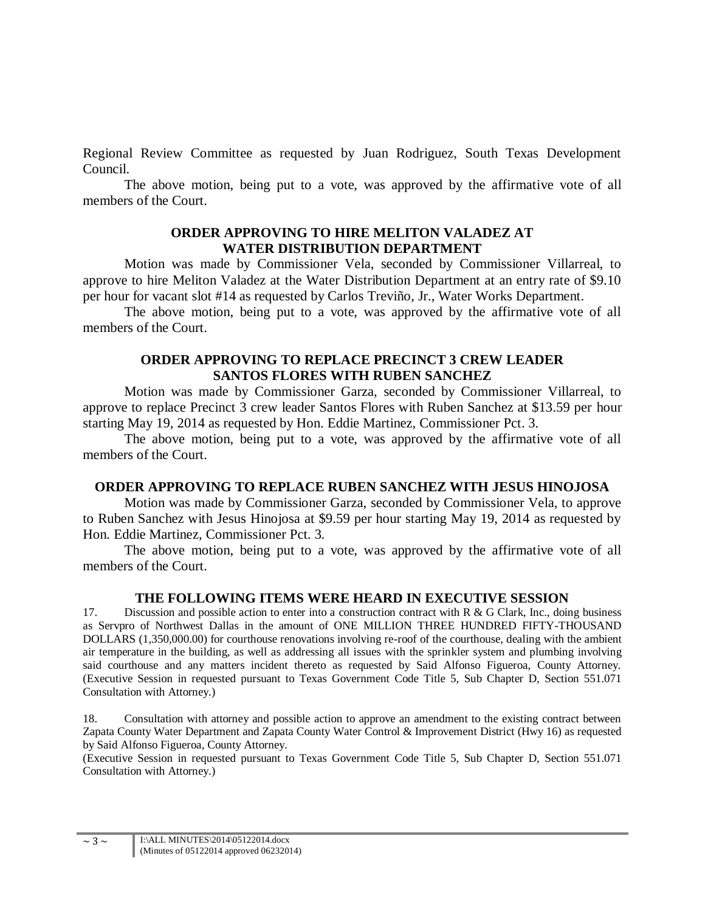Regional Review Committee as requested by Juan Rodriguez, South Texas Development Council.

The above motion, being put to a vote, was approved by the affirmative vote of all members of the Court.

#### **ORDER APPROVING TO HIRE MELITON VALADEZ AT WATER DISTRIBUTION DEPARTMENT**

Motion was made by Commissioner Vela, seconded by Commissioner Villarreal, to approve to hire Meliton Valadez at the Water Distribution Department at an entry rate of \$9.10 per hour for vacant slot #14 as requested by Carlos Treviño, Jr., Water Works Department.

The above motion, being put to a vote, was approved by the affirmative vote of all members of the Court.

## **ORDER APPROVING TO REPLACE PRECINCT 3 CREW LEADER SANTOS FLORES WITH RUBEN SANCHEZ**

Motion was made by Commissioner Garza, seconded by Commissioner Villarreal, to approve to replace Precinct 3 crew leader Santos Flores with Ruben Sanchez at \$13.59 per hour starting May 19, 2014 as requested by Hon. Eddie Martinez, Commissioner Pct. 3.

The above motion, being put to a vote, was approved by the affirmative vote of all members of the Court.

# **ORDER APPROVING TO REPLACE RUBEN SANCHEZ WITH JESUS HINOJOSA**

Motion was made by Commissioner Garza, seconded by Commissioner Vela, to approve to Ruben Sanchez with Jesus Hinojosa at \$9.59 per hour starting May 19, 2014 as requested by Hon. Eddie Martinez, Commissioner Pct. 3.

The above motion, being put to a vote, was approved by the affirmative vote of all members of the Court.

#### **THE FOLLOWING ITEMS WERE HEARD IN EXECUTIVE SESSION**

17. Discussion and possible action to enter into a construction contract with R & G Clark, Inc., doing business as Servpro of Northwest Dallas in the amount of ONE MILLION THREE HUNDRED FIFTY-THOUSAND DOLLARS (1,350,000.00) for courthouse renovations involving re-roof of the courthouse, dealing with the ambient air temperature in the building, as well as addressing all issues with the sprinkler system and plumbing involving said courthouse and any matters incident thereto as requested by Said Alfonso Figueroa, County Attorney. (Executive Session in requested pursuant to Texas Government Code Title 5, Sub Chapter D, Section 551.071 Consultation with Attorney.)

18. Consultation with attorney and possible action to approve an amendment to the existing contract between Zapata County Water Department and Zapata County Water Control & Improvement District (Hwy 16) as requested by Said Alfonso Figueroa, County Attorney.

(Executive Session in requested pursuant to Texas Government Code Title 5, Sub Chapter D, Section 551.071 Consultation with Attorney.)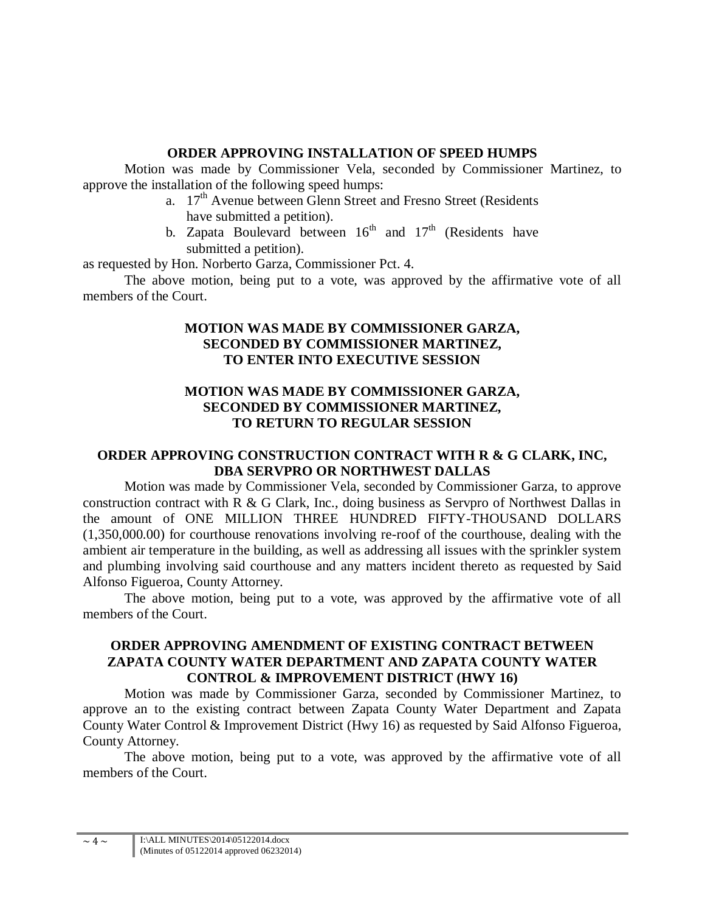## **ORDER APPROVING INSTALLATION OF SPEED HUMPS**

Motion was made by Commissioner Vela, seconded by Commissioner Martinez, to approve the installation of the following speed humps:

- a. 17<sup>th</sup> Avenue between Glenn Street and Fresno Street (Residents have submitted a petition).
- b. Zapata Boulevard between  $16<sup>th</sup>$  and  $17<sup>th</sup>$  (Residents have submitted a petition).

as requested by Hon. Norberto Garza, Commissioner Pct. 4.

The above motion, being put to a vote, was approved by the affirmative vote of all members of the Court.

# **MOTION WAS MADE BY COMMISSIONER GARZA, SECONDED BY COMMISSIONER MARTINEZ, TO ENTER INTO EXECUTIVE SESSION**

# **MOTION WAS MADE BY COMMISSIONER GARZA, SECONDED BY COMMISSIONER MARTINEZ, TO RETURN TO REGULAR SESSION**

# **ORDER APPROVING CONSTRUCTION CONTRACT WITH R & G CLARK, INC, DBA SERVPRO OR NORTHWEST DALLAS**

Motion was made by Commissioner Vela, seconded by Commissioner Garza, to approve construction contract with R & G Clark, Inc., doing business as Servpro of Northwest Dallas in the amount of ONE MILLION THREE HUNDRED FIFTY-THOUSAND DOLLARS (1,350,000.00) for courthouse renovations involving re-roof of the courthouse, dealing with the ambient air temperature in the building, as well as addressing all issues with the sprinkler system and plumbing involving said courthouse and any matters incident thereto as requested by Said Alfonso Figueroa, County Attorney.

The above motion, being put to a vote, was approved by the affirmative vote of all members of the Court.

## **ORDER APPROVING AMENDMENT OF EXISTING CONTRACT BETWEEN ZAPATA COUNTY WATER DEPARTMENT AND ZAPATA COUNTY WATER CONTROL & IMPROVEMENT DISTRICT (HWY 16)**

Motion was made by Commissioner Garza, seconded by Commissioner Martinez, to approve an to the existing contract between Zapata County Water Department and Zapata County Water Control & Improvement District (Hwy 16) as requested by Said Alfonso Figueroa, County Attorney.

The above motion, being put to a vote, was approved by the affirmative vote of all members of the Court.